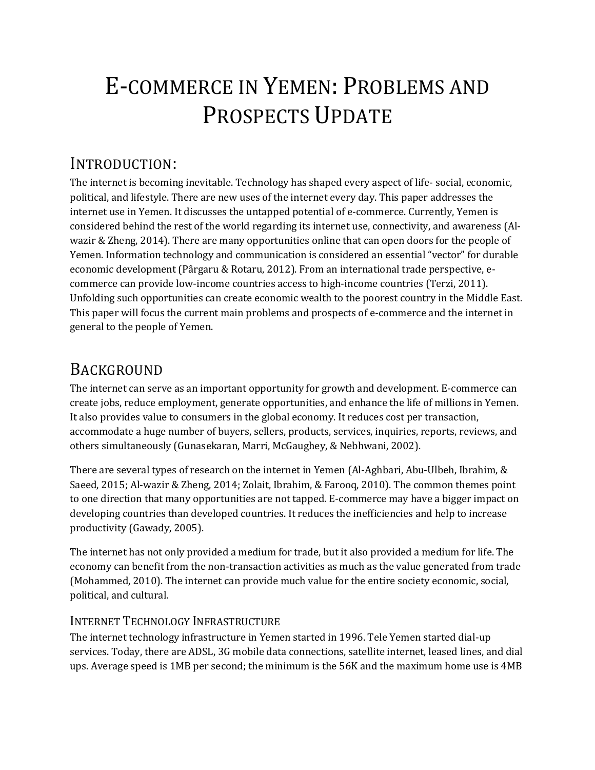# E-COMMERCE IN YEMEN: PROBLEMS AND PROSPECTS UPDATE

# INTRODUCTION:

The internet is becoming inevitable. Technology has shaped every aspect of life- social, economic, political, and lifestyle. There are new uses of the internet every day. This paper addresses the internet use in Yemen. It discusses the untapped potential of e-commerce. Currently, Yemen is considered behind the rest of the world regarding its internet use, connectivity, and awareness (Alwazir & Zheng, 2014). There are many opportunities online that can open doors for the people of Yemen. Information technology and communication is considered an essential "vector" for durable economic development (Pârgaru & Rotaru, 2012). From an international trade perspective, ecommerce can provide low-income countries access to high-income countries (Terzi, 2011). Unfolding such opportunities can create economic wealth to the poorest country in the Middle East. This paper will focus the current main problems and prospects of e-commerce and the internet in general to the people of Yemen.

# BACKGROUND

The internet can serve as an important opportunity for growth and development. E-commerce can create jobs, reduce employment, generate opportunities, and enhance the life of millions in Yemen. It also provides value to consumers in the global economy. It reduces cost per transaction, accommodate a huge number of buyers, sellers, products, services, inquiries, reports, reviews, and others simultaneously (Gunasekaran, Marri, McGaughey, & Nebhwani, 2002).

There are several types of research on the internet in Yemen (Al-Aghbari, Abu-Ulbeh, Ibrahim, & Saeed, 2015; Al-wazir & Zheng, 2014; Zolait, Ibrahim, & Farooq, 2010). The common themes point to one direction that many opportunities are not tapped. E-commerce may have a bigger impact on developing countries than developed countries. It reduces the inefficiencies and help to increase productivity (Gawady, 2005).

The internet has not only provided a medium for trade, but it also provided a medium for life. The economy can benefit from the non-transaction activities as much as the value generated from trade (Mohammed, 2010). The internet can provide much value for the entire society economic, social, political, and cultural.

# INTERNET TECHNOLOGY INFRASTRUCTURE

The internet technology infrastructure in Yemen started in 1996. Tele Yemen started dial-up services. Today, there are ADSL, 3G mobile data connections, satellite internet, leased lines, and dial ups. Average speed is 1MB per second; the minimum is the 56K and the maximum home use is 4MB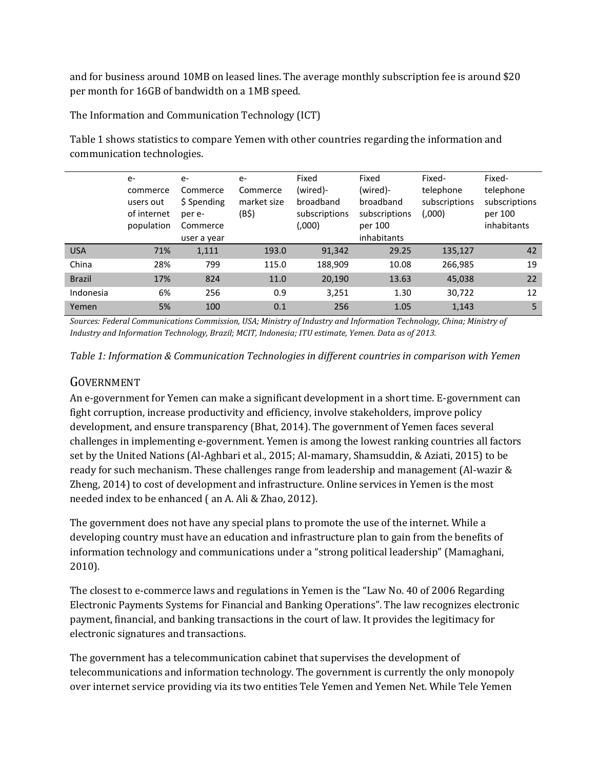and for business around 10MB on leased lines. The average monthly subscription fee is around \$20 per month for 16GB of bandwidth on a 1MB speed.

The Information and Communication Technology (ICT)

[Table 1](#page-1-0) shows statistics to compare Yemen with other countries regarding the information and communication technologies.

|               | $e-$<br>commerce<br>users out<br>of internet<br>population | $e-$<br>Commerce<br>\$ Spending<br>per e-<br>Commerce<br>user a year | $e-$<br>Commerce<br>market size<br>(B\$) | Fixed<br>(wired)-<br>broadband<br>subscriptions<br>(0.000) | Fixed<br>(wired)-<br>broadband<br>subscriptions<br>per 100<br>inhabitants | Fixed-<br>telephone<br>subscriptions<br>(,000) | Fixed-<br>telephone<br>subscriptions<br>per 100<br>inhabitants |
|---------------|------------------------------------------------------------|----------------------------------------------------------------------|------------------------------------------|------------------------------------------------------------|---------------------------------------------------------------------------|------------------------------------------------|----------------------------------------------------------------|
| <b>USA</b>    | 71%                                                        | 1,111                                                                | 193.0                                    | 91,342                                                     | 29.25                                                                     | 135,127                                        | 42                                                             |
| China         | 28%                                                        | 799                                                                  | 115.0                                    | 188,909                                                    | 10.08                                                                     | 266,985                                        | 19                                                             |
| <b>Brazil</b> | 17%                                                        | 824                                                                  | 11.0                                     | 20,190                                                     | 13.63                                                                     | 45,038                                         | 22                                                             |
| Indonesia     | 6%                                                         | 256                                                                  | 0.9                                      | 3,251                                                      | 1.30                                                                      | 30,722                                         | 12                                                             |
| Yemen         | 5%                                                         | 100                                                                  | 0.1                                      | 256                                                        | 1.05                                                                      | 1,143                                          | 5                                                              |

Sources: Federal Communications Commission, USA; Ministry of Industry and Information Technology, China; Ministry of *Industry and Information Technology, Brazil; MCIT, Indonesia; ITU estimate, Yemen. Data as of 2013.*

<span id="page-1-0"></span>*Table 1: Information & Communication Technologies in different countries in comparison with Yemen*

#### GOVERNMENT

An e-government for Yemen can make a significant development in a short time. E-government can fight corruption, increase productivity and efficiency, involve stakeholders, improve policy development, and ensure transparency (Bhat, 2014). The government of Yemen faces several challenges in implementing e-government. Yemen is among the lowest ranking countries all factors set by the United Nations (Al-Aghbari et al., 2015; Al-mamary, Shamsuddin, & Aziati, 2015) to be ready for such mechanism. These challenges range from leadership and management (Al-wazir & Zheng, 2014) to cost of development and infrastructure. Online services in Yemen is the most needed index to be enhanced ( an A. Ali & Zhao, 2012).

The government does not have any special plans to promote the use of the internet. While a developing country must have an education and infrastructure plan to gain from the benefits of information technology and communications under a "strong political leadership" (Mamaghani, 2010).

The closest to e-commerce laws and regulations in Yemen is the "Law No. 40 of 2006 Regarding Electronic Payments Systems for Financial and Banking Operations". The law recognizes electronic payment, financial, and banking transactions in the court of law. It provides the legitimacy for electronic signatures and transactions.

The government has a telecommunication cabinet that supervises the development of telecommunications and information technology. The government is currently the only monopoly over internet service providing via its two entities Tele Yemen and Yemen Net. While Tele Yemen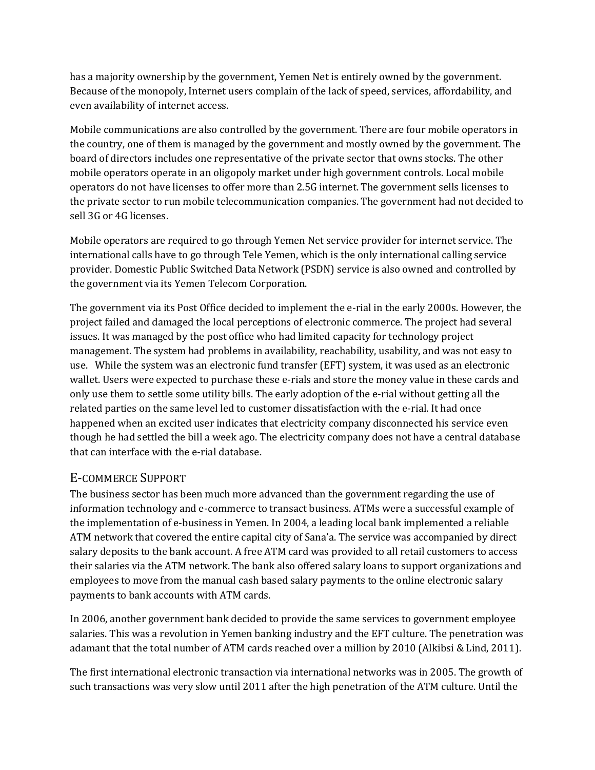has a majority ownership by the government, Yemen Net is entirely owned by the government. Because of the monopoly, Internet users complain of the lack of speed, services, affordability, and even availability of internet access.

Mobile communications are also controlled by the government. There are four mobile operators in the country, one of them is managed by the government and mostly owned by the government. The board of directors includes one representative of the private sector that owns stocks. The other mobile operators operate in an oligopoly market under high government controls. Local mobile operators do not have licenses to offer more than 2.5G internet. The government sells licenses to the private sector to run mobile telecommunication companies. The government had not decided to sell 3G or 4G licenses.

Mobile operators are required to go through Yemen Net service provider for internet service. The international calls have to go through Tele Yemen, which is the only international calling service provider. Domestic Public Switched Data Network (PSDN) service is also owned and controlled by the government via its Yemen Telecom Corporation.

The government via its Post Office decided to implement the e-rial in the early 2000s. However, the project failed and damaged the local perceptions of electronic commerce. The project had several issues. It was managed by the post office who had limited capacity for technology project management. The system had problems in availability, reachability, usability, and was not easy to use. While the system was an electronic fund transfer (EFT) system, it was used as an electronic wallet. Users were expected to purchase these e-rials and store the money value in these cards and only use them to settle some utility bills. The early adoption of the e-rial without getting all the related parties on the same level led to customer dissatisfaction with the e-rial. It had once happened when an excited user indicates that electricity company disconnected his service even though he had settled the bill a week ago. The electricity company does not have a central database that can interface with the e-rial database.

# E-COMMERCE SUPPORT

The business sector has been much more advanced than the government regarding the use of information technology and e-commerce to transact business. ATMs were a successful example of the implementation of e-business in Yemen. In 2004, a leading local bank implemented a reliable ATM network that covered the entire capital city of Sana'a. The service was accompanied by direct salary deposits to the bank account. A free ATM card was provided to all retail customers to access their salaries via the ATM network. The bank also offered salary loans to support organizations and employees to move from the manual cash based salary payments to the online electronic salary payments to bank accounts with ATM cards.

In 2006, another government bank decided to provide the same services to government employee salaries. This was a revolution in Yemen banking industry and the EFT culture. The penetration was adamant that the total number of ATM cards reached over a million by 2010 (Alkibsi & Lind, 2011).

The first international electronic transaction via international networks was in 2005. The growth of such transactions was very slow until 2011 after the high penetration of the ATM culture. Until the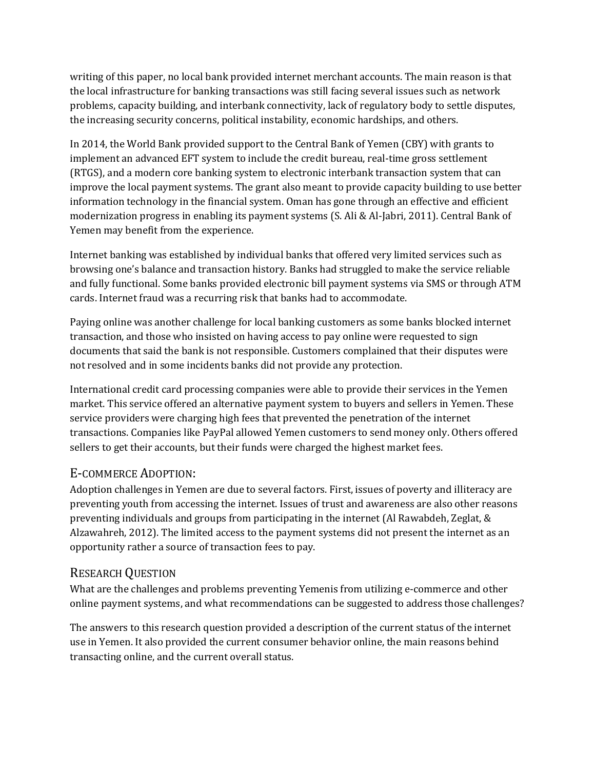writing of this paper, no local bank provided internet merchant accounts. The main reason is that the local infrastructure for banking transactions was still facing several issues such as network problems, capacity building, and interbank connectivity, lack of regulatory body to settle disputes, the increasing security concerns, political instability, economic hardships, and others.

In 2014, the World Bank provided support to the Central Bank of Yemen (CBY) with grants to implement an advanced EFT system to include the credit bureau, real-time gross settlement (RTGS), and a modern core banking system to electronic interbank transaction system that can improve the local payment systems. The grant also meant to provide capacity building to use better information technology in the financial system. Oman has gone through an effective and efficient modernization progress in enabling its payment systems (S. Ali & Al-Jabri, 2011). Central Bank of Yemen may benefit from the experience.

Internet banking was established by individual banks that offered very limited services such as browsing one's balance and transaction history. Banks had struggled to make the service reliable and fully functional. Some banks provided electronic bill payment systems via SMS or through ATM cards. Internet fraud was a recurring risk that banks had to accommodate.

Paying online was another challenge for local banking customers as some banks blocked internet transaction, and those who insisted on having access to pay online were requested to sign documents that said the bank is not responsible. Customers complained that their disputes were not resolved and in some incidents banks did not provide any protection.

International credit card processing companies were able to provide their services in the Yemen market. This service offered an alternative payment system to buyers and sellers in Yemen. These service providers were charging high fees that prevented the penetration of the internet transactions. Companies like PayPal allowed Yemen customers to send money only. Others offered sellers to get their accounts, but their funds were charged the highest market fees.

# E-COMMERCE ADOPTION:

Adoption challenges in Yemen are due to several factors. First, issues of poverty and illiteracy are preventing youth from accessing the internet. Issues of trust and awareness are also other reasons preventing individuals and groups from participating in the internet (Al Rawabdeh, Zeglat, & Alzawahreh, 2012). The limited access to the payment systems did not present the internet as an opportunity rather a source of transaction fees to pay.

## RESEARCH QUESTION

What are the challenges and problems preventing Yemenis from utilizing e-commerce and other online payment systems, and what recommendations can be suggested to address those challenges?

The answers to this research question provided a description of the current status of the internet use in Yemen. It also provided the current consumer behavior online, the main reasons behind transacting online, and the current overall status.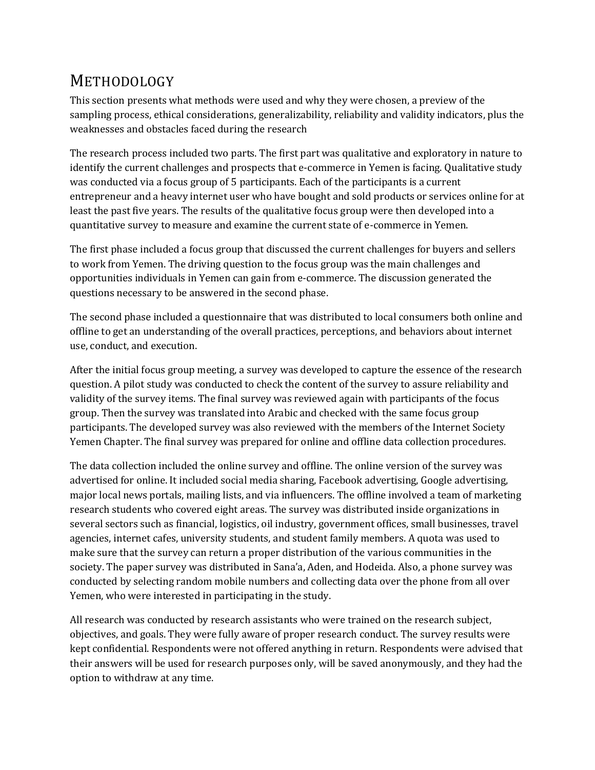# **METHODOLOGY**

This section presents what methods were used and why they were chosen, a preview of the sampling process, ethical considerations, generalizability, reliability and validity indicators, plus the weaknesses and obstacles faced during the research

The research process included two parts. The first part was qualitative and exploratory in nature to identify the current challenges and prospects that e-commerce in Yemen is facing. Qualitative study was conducted via a focus group of 5 participants. Each of the participants is a current entrepreneur and a heavy internet user who have bought and sold products or services online for at least the past five years. The results of the qualitative focus group were then developed into a quantitative survey to measure and examine the current state of e-commerce in Yemen.

The first phase included a focus group that discussed the current challenges for buyers and sellers to work from Yemen. The driving question to the focus group was the main challenges and opportunities individuals in Yemen can gain from e-commerce. The discussion generated the questions necessary to be answered in the second phase.

The second phase included a questionnaire that was distributed to local consumers both online and offline to get an understanding of the overall practices, perceptions, and behaviors about internet use, conduct, and execution.

After the initial focus group meeting, a survey was developed to capture the essence of the research question. A pilot study was conducted to check the content of the survey to assure reliability and validity of the survey items. The final survey was reviewed again with participants of the focus group. Then the survey was translated into Arabic and checked with the same focus group participants. The developed survey was also reviewed with the members of the Internet Society Yemen Chapter. The final survey was prepared for online and offline data collection procedures.

The data collection included the online survey and offline. The online version of the survey was advertised for online. It included social media sharing, Facebook advertising, Google advertising, major local news portals, mailing lists, and via influencers. The offline involved a team of marketing research students who covered eight areas. The survey was distributed inside organizations in several sectors such as financial, logistics, oil industry, government offices, small businesses, travel agencies, internet cafes, university students, and student family members. A quota was used to make sure that the survey can return a proper distribution of the various communities in the society. The paper survey was distributed in Sana'a, Aden, and Hodeida. Also, a phone survey was conducted by selecting random mobile numbers and collecting data over the phone from all over Yemen, who were interested in participating in the study.

All research was conducted by research assistants who were trained on the research subject, objectives, and goals. They were fully aware of proper research conduct. The survey results were kept confidential. Respondents were not offered anything in return. Respondents were advised that their answers will be used for research purposes only, will be saved anonymously, and they had the option to withdraw at any time.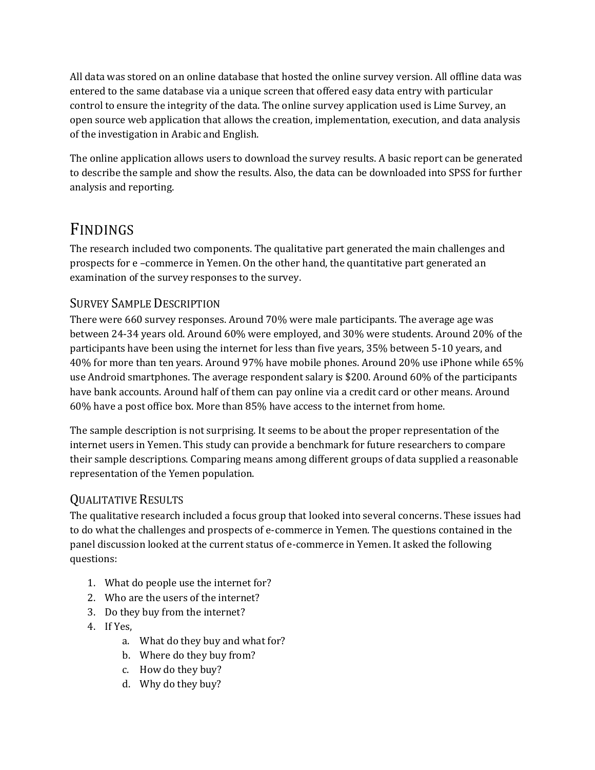All data was stored on an online database that hosted the online survey version. All offline data was entered to the same database via a unique screen that offered easy data entry with particular control to ensure the integrity of the data. The online survey application used is Lime Survey, an open source web application that allows the creation, implementation, execution, and data analysis of the investigation in Arabic and English.

The online application allows users to download the survey results. A basic report can be generated to describe the sample and show the results. Also, the data can be downloaded into SPSS for further analysis and reporting.

# FINDINGS

The research included two components. The qualitative part generated the main challenges and prospects for e –commerce in Yemen. On the other hand, the quantitative part generated an examination of the survey responses to the survey.

# SURVEY SAMPLE DESCRIPTION

There were 660 survey responses. Around 70% were male participants. The average age was between 24-34 years old. Around 60% were employed, and 30% were students. Around 20% of the participants have been using the internet for less than five years, 35% between 5-10 years, and 40% for more than ten years. Around 97% have mobile phones. Around 20% use iPhone while 65% use Android smartphones. The average respondent salary is \$200. Around 60% of the participants have bank accounts. Around half of them can pay online via a credit card or other means. Around 60% have a post office box. More than 85% have access to the internet from home.

The sample description is not surprising. It seems to be about the proper representation of the internet users in Yemen. This study can provide a benchmark for future researchers to compare their sample descriptions. Comparing means among different groups of data supplied a reasonable representation of the Yemen population.

## QUALITATIVE RESULTS

The qualitative research included a focus group that looked into several concerns. These issues had to do what the challenges and prospects of e-commerce in Yemen. The questions contained in the panel discussion looked at the current status of e-commerce in Yemen. It asked the following questions:

- 1. What do people use the internet for?
- 2. Who are the users of the internet?
- 3. Do they buy from the internet?
- 4. If Yes,
	- a. What do they buy and what for?
	- b. Where do they buy from?
	- c. How do they buy?
	- d. Why do they buy?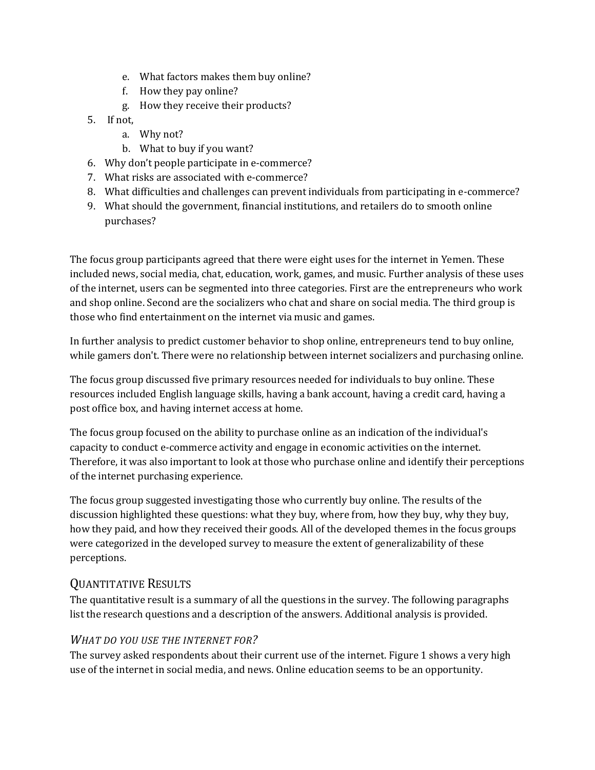- e. What factors makes them buy online?
- f. How they pay online?
- g. How they receive their products?
- 5. If not,
	- a. Why not?
	- b. What to buy if you want?
- 6. Why don't people participate in e-commerce?
- 7. What risks are associated with e-commerce?
- 8. What difficulties and challenges can prevent individuals from participating in e-commerce?
- 9. What should the government, financial institutions, and retailers do to smooth online purchases?

The focus group participants agreed that there were eight uses for the internet in Yemen. These included news, social media, chat, education, work, games, and music. Further analysis of these uses of the internet, users can be segmented into three categories. First are the entrepreneurs who work and shop online. Second are the socializers who chat and share on social media. The third group is those who find entertainment on the internet via music and games.

In further analysis to predict customer behavior to shop online, entrepreneurs tend to buy online, while gamers don't. There were no relationship between internet socializers and purchasing online.

The focus group discussed five primary resources needed for individuals to buy online. These resources included English language skills, having a bank account, having a credit card, having a post office box, and having internet access at home.

The focus group focused on the ability to purchase online as an indication of the individual's capacity to conduct e-commerce activity and engage in economic activities on the internet. Therefore, it was also important to look at those who purchase online and identify their perceptions of the internet purchasing experience.

The focus group suggested investigating those who currently buy online. The results of the discussion highlighted these questions: what they buy, where from, how they buy, why they buy, how they paid, and how they received their goods. All of the developed themes in the focus groups were categorized in the developed survey to measure the extent of generalizability of these perceptions.

# QUANTITATIVE RESULTS

The quantitative result is a summary of all the questions in the survey. The following paragraphs list the research questions and a description of the answers. Additional analysis is provided.

#### *WHAT DO YOU USE THE INTERNET FOR?*

The survey asked respondents about their current use of the internet[. Figure 1](#page-7-0) shows a very high use of the internet in social media, and news. Online education seems to be an opportunity.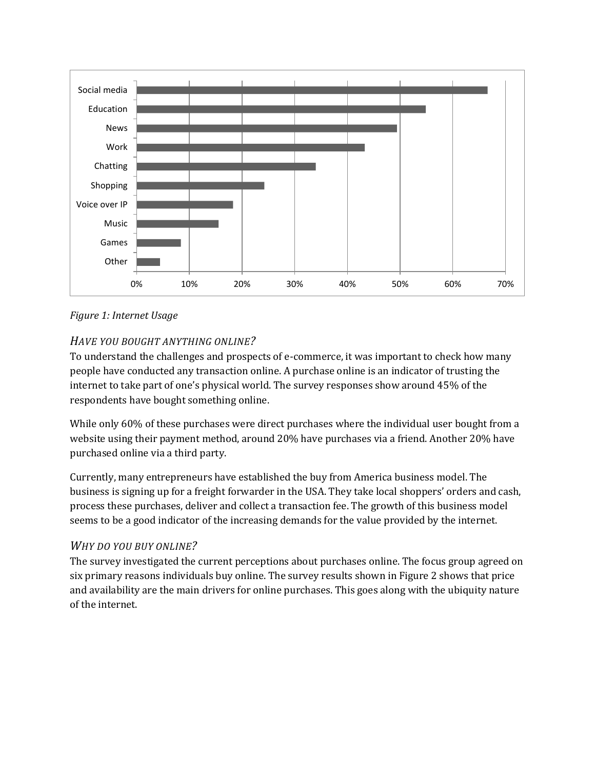

<span id="page-7-0"></span>*Figure 1: Internet Usage*

#### *HAVE YOU BOUGHT ANYTHING ONLINE?*

To understand the challenges and prospects of e-commerce, it was important to check how many people have conducted any transaction online. A purchase online is an indicator of trusting the internet to take part of one's physical world. The survey responses show around 45% of the respondents have bought something online.

While only 60% of these purchases were direct purchases where the individual user bought from a website using their payment method, around 20% have purchases via a friend. Another 20% have purchased online via a third party.

Currently, many entrepreneurs have established the buy from America business model. The business is signing up for a freight forwarder in the USA. They take local shoppers' orders and cash, process these purchases, deliver and collect a transaction fee. The growth of this business model seems to be a good indicator of the increasing demands for the value provided by the internet.

#### *WHY DO YOU BUY ONLINE?*

The survey investigated the current perceptions about purchases online. The focus group agreed on six primary reasons individuals buy online. The survey results shown in [Figure 2](#page-8-0) shows that price and availability are the main drivers for online purchases. This goes along with the ubiquity nature of the internet.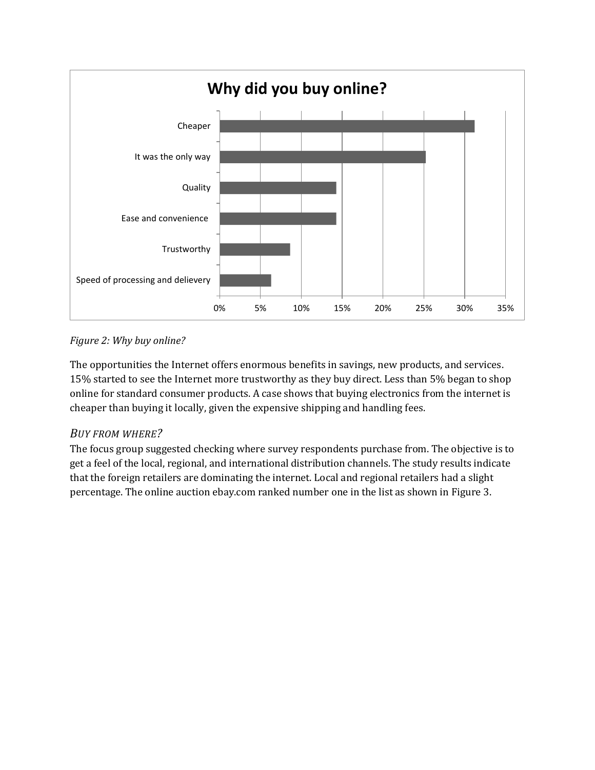

## <span id="page-8-0"></span>*Figure 2: Why buy online?*

The opportunities the Internet offers enormous benefits in savings, new products, and services. 15% started to see the Internet more trustworthy as they buy direct. Less than 5% began to shop online for standard consumer products. A case shows that buying electronics from the internet is cheaper than buying it locally, given the expensive shipping and handling fees.

#### *BUY FROM WHERE?*

The focus group suggested checking where survey respondents purchase from. The objective is to get a feel of the local, regional, and international distribution channels. The study results indicate that the foreign retailers are dominating the internet. Local and regional retailers had a slight percentage. The online auction ebay.com ranked number one in the list as shown i[n Figure 3.](#page-9-0)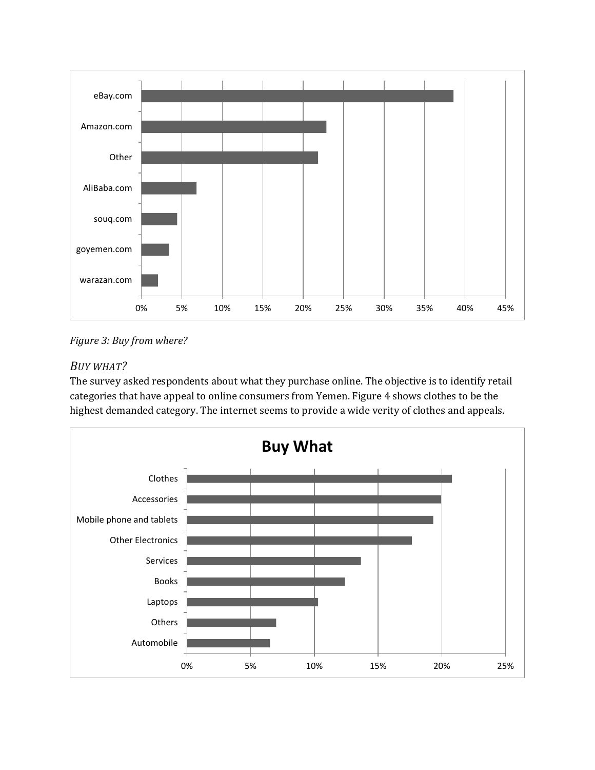

<span id="page-9-0"></span>*Figure 3: Buy from where?*

## *BUY WHAT?*

The survey asked respondents about what they purchase online. The objective is to identify retail categories that have appeal to online consumers from Yemen[. Figure 4](#page-10-0) shows clothes to be the highest demanded category. The internet seems to provide a wide verity of clothes and appeals.

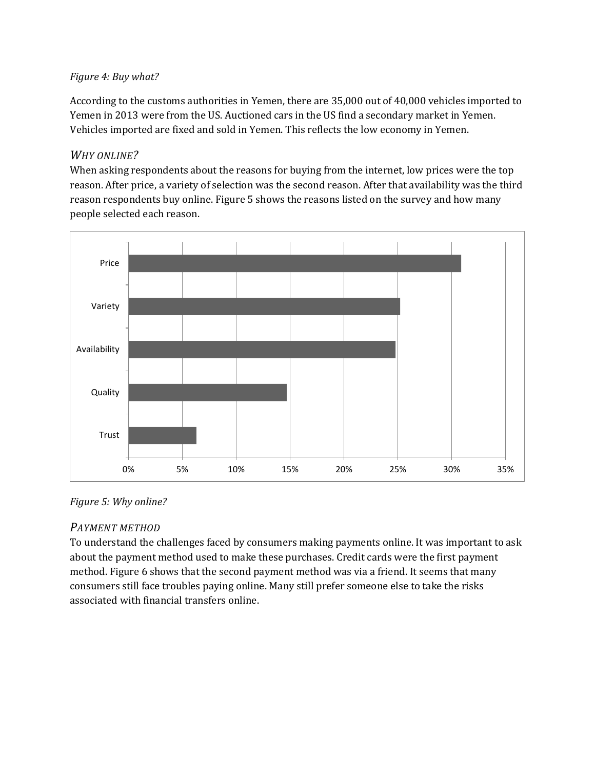#### <span id="page-10-0"></span>*Figure 4: Buy what?*

According to the customs authorities in Yemen, there are 35,000 out of 40,000 vehicles imported to Yemen in 2013 were from the US. Auctioned cars in the US find a secondary market in Yemen. Vehicles imported are fixed and sold in Yemen. This reflects the low economy in Yemen.

#### *WHY ONLINE?*

When asking respondents about the reasons for buying from the internet, low prices were the top reason. After price, a variety of selection was the second reason. After that availability was the third reason respondents buy online. [Figure 5](#page-10-1) shows the reasons listed on the survey and how many people selected each reason.



<span id="page-10-1"></span>*Figure 5: Why online?*

## *PAYMENT METHOD*

To understand the challenges faced by consumers making payments online. It was important to ask about the payment method used to make these purchases. Credit cards were the first payment method. [Figure 6](#page-11-0) shows that the second payment method was via a friend. It seems that many consumers still face troubles paying online. Many still prefer someone else to take the risks associated with financial transfers online.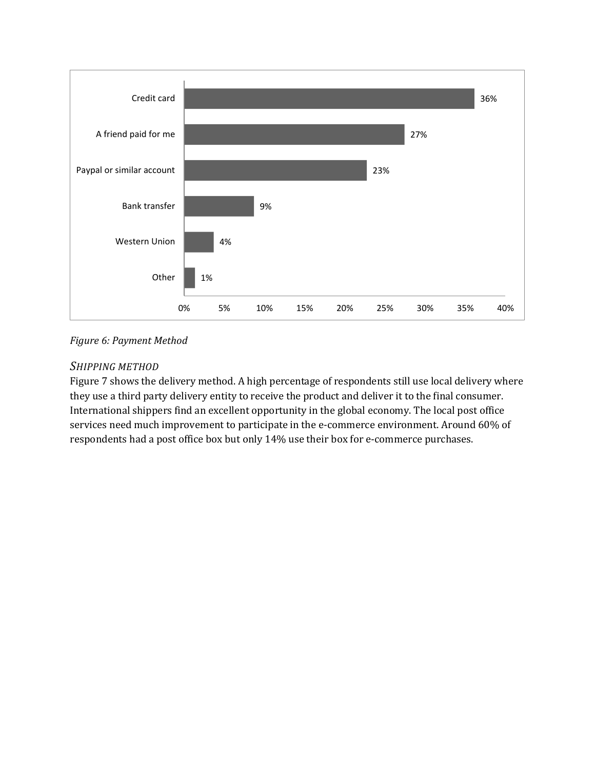

#### <span id="page-11-0"></span>*Figure 6: Payment Method*

#### *SHIPPING METHOD*

[Figure 7](#page-12-0) shows the delivery method. A high percentage of respondents still use local delivery where they use a third party delivery entity to receive the product and deliver it to the final consumer. International shippers find an excellent opportunity in the global economy. The local post office services need much improvement to participate in the e-commerce environment. Around 60% of respondents had a post office box but only 14% use their box for e-commerce purchases.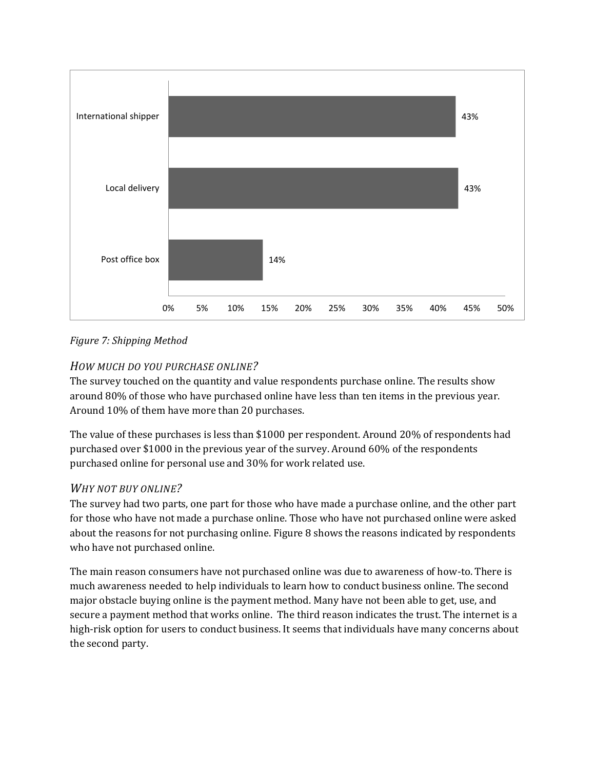

#### <span id="page-12-0"></span>*Figure 7: Shipping Method*

#### *HOW MUCH DO YOU PURCHASE ONLINE?*

The survey touched on the quantity and value respondents purchase online. The results show around 80% of those who have purchased online have less than ten items in the previous year. Around 10% of them have more than 20 purchases.

The value of these purchases is less than \$1000 per respondent. Around 20% of respondents had purchased over \$1000 in the previous year of the survey. Around 60% of the respondents purchased online for personal use and 30% for work related use.

#### *WHY NOT BUY ONLINE?*

The survey had two parts, one part for those who have made a purchase online, and the other part for those who have not made a purchase online. Those who have not purchased online were asked about the reasons for not purchasing online[. Figure 8](#page-13-0) shows the reasons indicated by respondents who have not purchased online.

The main reason consumers have not purchased online was due to awareness of how-to. There is much awareness needed to help individuals to learn how to conduct business online. The second major obstacle buying online is the payment method. Many have not been able to get, use, and secure a payment method that works online. The third reason indicates the trust. The internet is a high-risk option for users to conduct business. It seems that individuals have many concerns about the second party.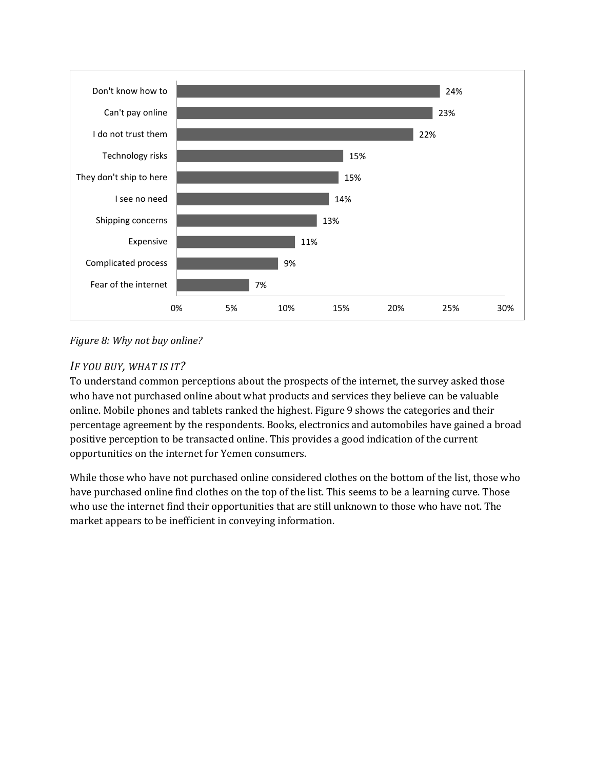

<span id="page-13-0"></span>*Figure 8: Why not buy online?*

## *IF YOU BUY, WHAT IS IT?*

To understand common perceptions about the prospects of the internet, the survey asked those who have not purchased online about what products and services they believe can be valuable online. Mobile phones and tablets ranked the highest[. Figure 9](#page-14-0) shows the categories and their percentage agreement by the respondents. Books, electronics and automobiles have gained a broad positive perception to be transacted online. This provides a good indication of the current opportunities on the internet for Yemen consumers.

While those who have not purchased online considered clothes on the bottom of the list, those who have purchased online find clothes on the top of the list. This seems to be a learning curve. Those who use the internet find their opportunities that are still unknown to those who have not. The market appears to be inefficient in conveying information.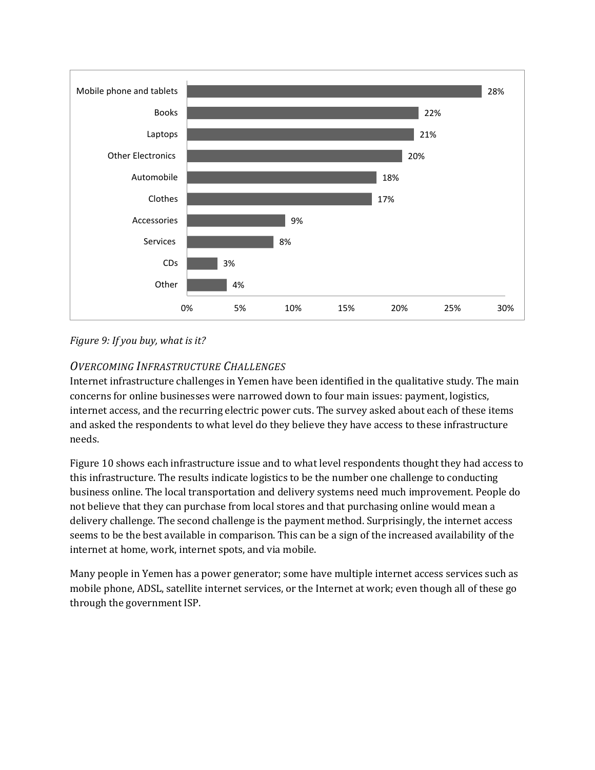

#### <span id="page-14-0"></span>*Figure 9: If you buy, what is it?*

## *OVERCOMING INFRASTRUCTURE CHALLENGES*

Internet infrastructure challenges in Yemen have been identified in the qualitative study. The main concerns for online businesses were narrowed down to four main issues: payment, logistics, internet access, and the recurring electric power cuts. The survey asked about each of these items and asked the respondents to what level do they believe they have access to these infrastructure needs.

[Figure 10](#page-15-0) shows each infrastructure issue and to what level respondents thought they had access to this infrastructure. The results indicate logistics to be the number one challenge to conducting business online. The local transportation and delivery systems need much improvement. People do not believe that they can purchase from local stores and that purchasing online would mean a delivery challenge. The second challenge is the payment method. Surprisingly, the internet access seems to be the best available in comparison. This can be a sign of the increased availability of the internet at home, work, internet spots, and via mobile.

Many people in Yemen has a power generator; some have multiple internet access services such as mobile phone, ADSL, satellite internet services, or the Internet at work; even though all of these go through the government ISP.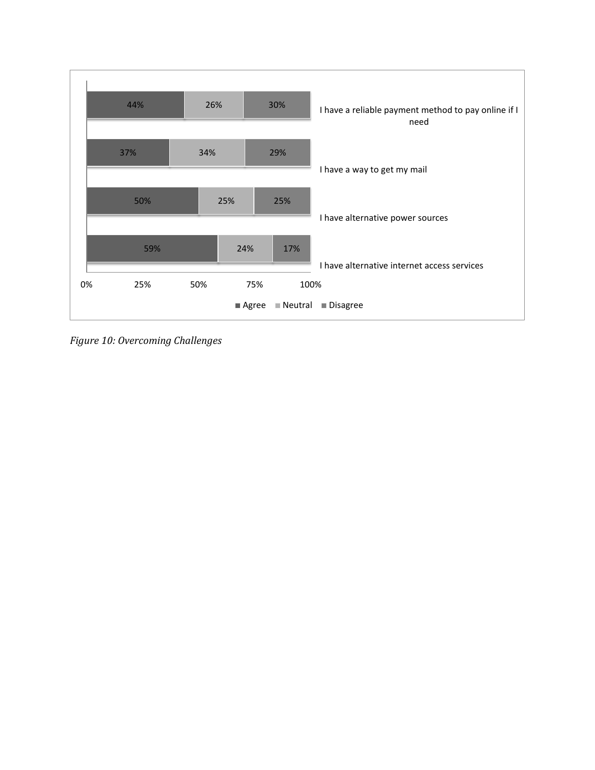

<span id="page-15-0"></span>*Figure 10: Overcoming Challenges*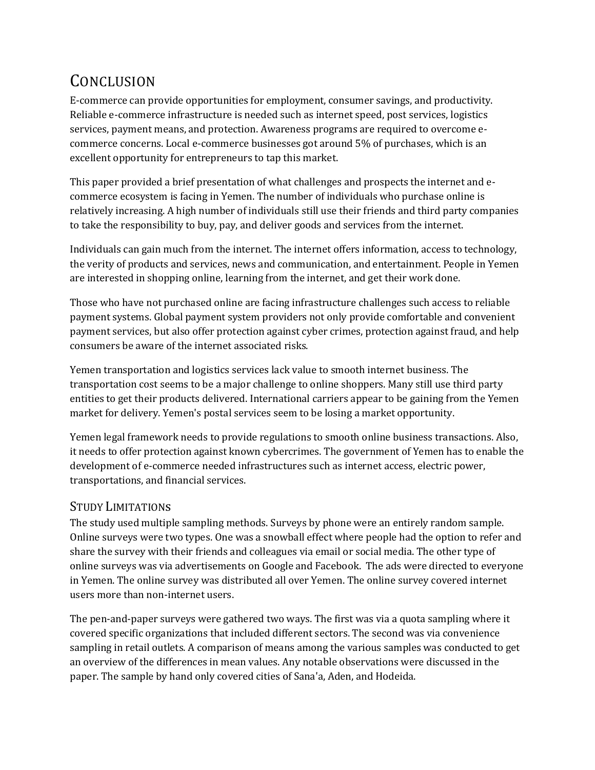# **CONCLUSION**

E-commerce can provide opportunities for employment, consumer savings, and productivity. Reliable e-commerce infrastructure is needed such as internet speed, post services, logistics services, payment means, and protection. Awareness programs are required to overcome ecommerce concerns. Local e-commerce businesses got around 5% of purchases, which is an excellent opportunity for entrepreneurs to tap this market.

This paper provided a brief presentation of what challenges and prospects the internet and ecommerce ecosystem is facing in Yemen. The number of individuals who purchase online is relatively increasing. A high number of individuals still use their friends and third party companies to take the responsibility to buy, pay, and deliver goods and services from the internet.

Individuals can gain much from the internet. The internet offers information, access to technology, the verity of products and services, news and communication, and entertainment. People in Yemen are interested in shopping online, learning from the internet, and get their work done.

Those who have not purchased online are facing infrastructure challenges such access to reliable payment systems. Global payment system providers not only provide comfortable and convenient payment services, but also offer protection against cyber crimes, protection against fraud, and help consumers be aware of the internet associated risks.

Yemen transportation and logistics services lack value to smooth internet business. The transportation cost seems to be a major challenge to online shoppers. Many still use third party entities to get their products delivered. International carriers appear to be gaining from the Yemen market for delivery. Yemen's postal services seem to be losing a market opportunity.

Yemen legal framework needs to provide regulations to smooth online business transactions. Also, it needs to offer protection against known cybercrimes. The government of Yemen has to enable the development of e-commerce needed infrastructures such as internet access, electric power, transportations, and financial services.

# STUDY LIMITATIONs

The study used multiple sampling methods. Surveys by phone were an entirely random sample. Online surveys were two types. One was a snowball effect where people had the option to refer and share the survey with their friends and colleagues via email or social media. The other type of online surveys was via advertisements on Google and Facebook. The ads were directed to everyone in Yemen. The online survey was distributed all over Yemen. The online survey covered internet users more than non-internet users.

The pen-and-paper surveys were gathered two ways. The first was via a quota sampling where it covered specific organizations that included different sectors. The second was via convenience sampling in retail outlets. A comparison of means among the various samples was conducted to get an overview of the differences in mean values. Any notable observations were discussed in the paper. The sample by hand only covered cities of Sana'a, Aden, and Hodeida.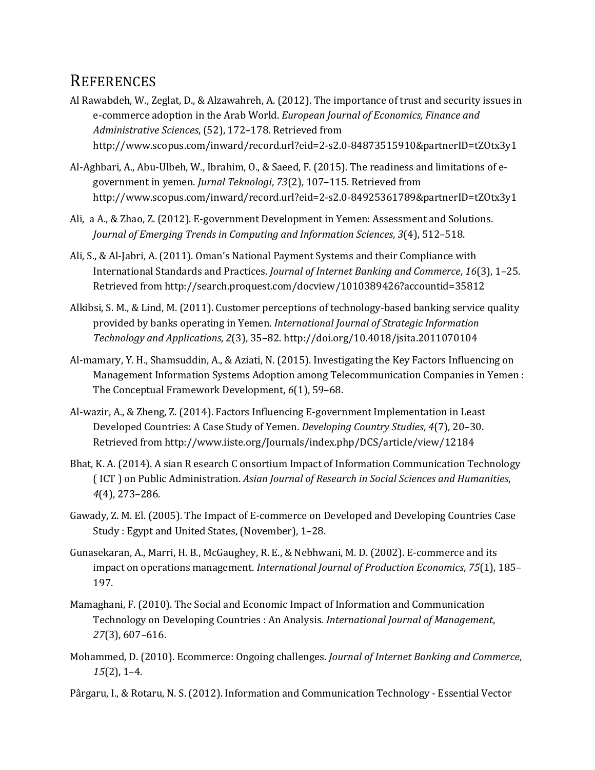# **REFERENCES**

- Al Rawabdeh, W., Zeglat, D., & Alzawahreh, A. (2012). The importance of trust and security issues in e-commerce adoption in the Arab World. *European Journal of Economics, Finance and Administrative Sciences*, (52), 172–178. Retrieved from http://www.scopus.com/inward/record.url?eid=2-s2.0-84873515910&partnerID=tZOtx3y1
- Al-Aghbari, A., Abu-Ulbeh, W., Ibrahim, O., & Saeed, F. (2015). The readiness and limitations of egovernment in yemen. *Jurnal Teknologi*, *73*(2), 107–115. Retrieved from http://www.scopus.com/inward/record.url?eid=2-s2.0-84925361789&partnerID=tZOtx3y1
- Ali, a A., & Zhao, Z. (2012). E-government Development in Yemen: Assessment and Solutions. *Journal of Emerging Trends in Computing and Information Sciences*, *3*(4), 512–518.
- Ali, S., & Al-Jabri, A. (2011). Oman's National Payment Systems and their Compliance with International Standards and Practices. *Journal of Internet Banking and Commerce*, *16*(3), 1–25. Retrieved from http://search.proquest.com/docview/1010389426?accountid=35812
- Alkibsi, S. M., & Lind, M. (2011). Customer perceptions of technology-based banking service quality provided by banks operating in Yemen. *International Journal of Strategic Information Technology and Applications*, *2*(3), 35–82. http://doi.org/10.4018/jsita.2011070104
- Al-mamary, Y. H., Shamsuddin, A., & Aziati, N. (2015). Investigating the Key Factors Influencing on Management Information Systems Adoption among Telecommunication Companies in Yemen : The Conceptual Framework Development, *6*(1), 59–68.
- Al-wazir, A., & Zheng, Z. (2014). Factors Influencing E-government Implementation in Least Developed Countries: A Case Study of Yemen. *Developing Country Studies*, *4*(7), 20–30. Retrieved from http://www.iiste.org/Journals/index.php/DCS/article/view/12184
- Bhat, K. A. (2014). A sian R esearch C onsortium Impact of Information Communication Technology ( ICT ) on Public Administration. *Asian Journal of Research in Social Sciences and Humanities*, *4*(4), 273–286.
- Gawady, Z. M. El. (2005). The Impact of E-commerce on Developed and Developing Countries Case Study : Egypt and United States, (November), 1–28.
- Gunasekaran, A., Marri, H. B., McGaughey, R. E., & Nebhwani, M. D. (2002). E-commerce and its impact on operations management. *International Journal of Production Economics*, *75*(1), 185– 197.
- Mamaghani, F. (2010). The Social and Economic Impact of Information and Communication Technology on Developing Countries : An Analysis. *International Journal of Management*, *27*(3), 607–616.
- Mohammed, D. (2010). Ecommerce: Ongoing challenges. *Journal of Internet Banking and Commerce*, *15*(2), 1–4.
- Pârgaru, I., & Rotaru, N. S. (2012). Information and Communication Technology Essential Vector